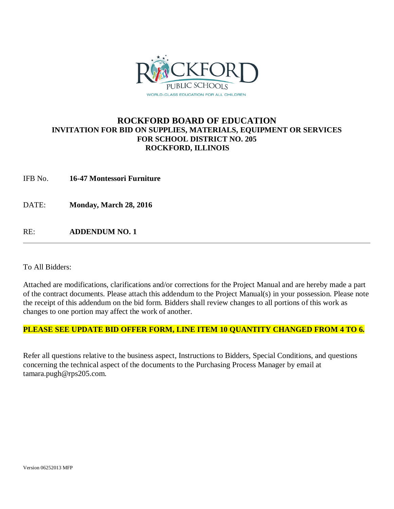

#### **ROCKFORD BOARD OF EDUCATION INVITATION FOR BID ON SUPPLIES, MATERIALS, EQUIPMENT OR SERVICES FOR SCHOOL DISTRICT NO. 205 ROCKFORD, ILLINOIS**

IFB No. **16-47 Montessori Furniture**

DATE: **Monday, March 28, 2016**

RE: **ADDENDUM NO. 1**

To All Bidders:

Attached are modifications, clarifications and/or corrections for the Project Manual and are hereby made a part of the contract documents. Please attach this addendum to the Project Manual(s) in your possession. Please note the receipt of this addendum on the bid form. Bidders shall review changes to all portions of this work as changes to one portion may affect the work of another.

#### **PLEASE SEE UPDATE BID OFFER FORM, LINE ITEM 10 QUANTITY CHANGED FROM 4 TO 6.**

Refer all questions relative to the business aspect, Instructions to Bidders, Special Conditions, and questions concerning the technical aspect of the documents to the Purchasing Process Manager by email at tamara.pugh@rps205.com.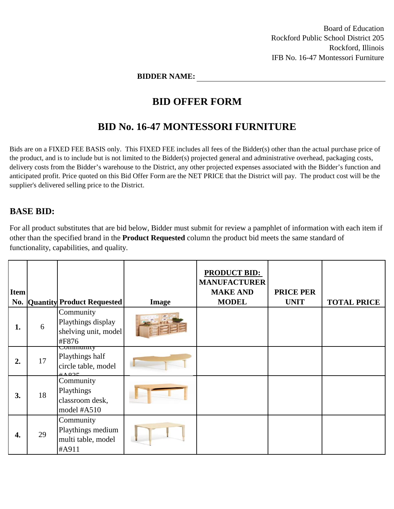Board of Education Rockford Public School District 205 Rockford, Illinois IFB No. 16-47 Montessori Furniture

**BIDDER NAME:**

## **BID OFFER FORM**

## **BID No. 16-47 MONTESSORI FURNITURE**

Bids are on a FIXED FEE BASIS only. This FIXED FEE includes all fees of the Bidder(s) other than the actual purchase price of the product, and is to include but is not limited to the Bidder(s) projected general and administrative overhead, packaging costs, delivery costs from the Bidder's warehouse to the District, any other projected expenses associated with the Bidder's function and anticipated profit. Price quoted on this Bid Offer Form are the NET PRICE that the District will pay. The product cost will be the supplier's delivered selling price to the District.

### **BASE BID:**

For all product substitutes that are bid below, Bidder must submit for review a pamphlet of information with each item if other than the specified brand in the **Product Requested** column the product bid meets the same standard of functionality, capabilities, and quality.

| <b>Item</b> |    | <b>No. Quantity Product Requested</b>                                              | Image | <b>PRODUCT BID:</b><br><b>MANUFACTURER</b><br><b>MAKE AND</b><br><b>MODEL</b> | <b>PRICE PER</b><br><b>UNIT</b> | <b>TOTAL PRICE</b> |
|-------------|----|------------------------------------------------------------------------------------|-------|-------------------------------------------------------------------------------|---------------------------------|--------------------|
| 1.          | 6  | Community<br>Playthings display<br>shelving unit, model<br>#F876                   |       |                                                                               |                                 |                    |
| 2.          | 17 | Community<br>Playthings half<br>circle table, model<br>$\mu$ and $\sigma$ $\sigma$ |       |                                                                               |                                 |                    |
| 3.          | 18 | Community<br>Playthings<br>classroom desk,<br>model #A510                          |       |                                                                               |                                 |                    |
| 4.          | 29 | Community<br>Playthings medium<br>multi table, model<br>#A911                      |       |                                                                               |                                 |                    |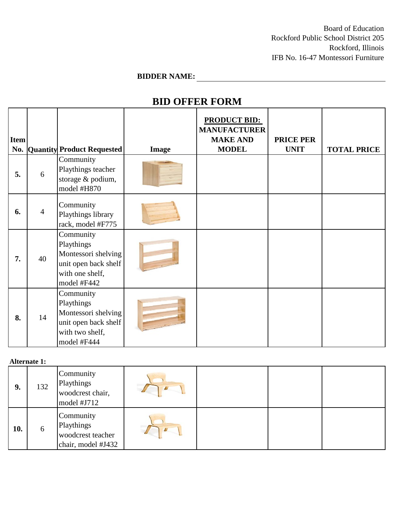Board of Education Rockford Public School District 205 Rockford, Illinois IFB No. 16-47 Montessori Furniture

# **BIDDER NAME:**

# **BID OFFER FORM**

| <b>Item</b> |                | <b>No. Quantity Product Requested</b>                                                                    | <b>Image</b> | <b>PRODUCT BID:</b><br><b>MANUFACTURER</b><br><b>MAKE AND</b><br><b>MODEL</b> | <b>PRICE PER</b><br><b>UNIT</b> | <b>TOTAL PRICE</b> |
|-------------|----------------|----------------------------------------------------------------------------------------------------------|--------------|-------------------------------------------------------------------------------|---------------------------------|--------------------|
| 5.          | 6              | Community<br>Playthings teacher<br>storage & podium,<br>model #H870                                      |              |                                                                               |                                 |                    |
| 6.          | $\overline{4}$ | Community<br>Playthings library<br>rack, model #F775                                                     |              |                                                                               |                                 |                    |
| 7.          | 40             | Community<br>Playthings<br>Montessori shelving<br>unit open back shelf<br>with one shelf,<br>model #F442 |              |                                                                               |                                 |                    |
| 8.          | 14             | Community<br>Playthings<br>Montessori shelving<br>unit open back shelf<br>with two shelf,<br>model #F444 |              |                                                                               |                                 |                    |

| Alternate 1: |  |
|--------------|--|
|--------------|--|

|     | $\mathbf{r}$ |                                                                    |  |  |  |  |
|-----|--------------|--------------------------------------------------------------------|--|--|--|--|
| 9.  | 132          | Community<br>Playthings<br>woodcrest chair,<br>model #J712         |  |  |  |  |
| 10. | 6            | Community<br>Playthings<br>woodcrest teacher<br>chair, model #J432 |  |  |  |  |